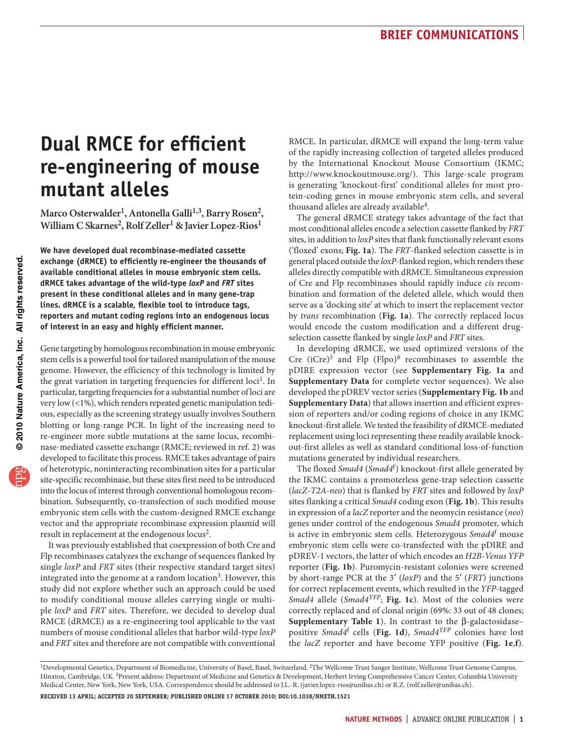# **Dual RMCE for efficient re-engineering of mouse mutant alleles**

Marco Osterwalder<sup>1</sup>, Antonella Galli<sup>1,3</sup>, Barry Rosen<sup>2</sup>, William C Skarnes<sup>2</sup>, Rolf Zeller<sup>1</sup> & Javier Lopez-Rios<sup>1</sup>

**We have developed dual recombinase-mediated cassette exchange (dRMCE) to efficiently re-engineer the thousands of available conditional alleles in mouse embryonic stem cells. dRMCE takes advantage of the wild-type** *loxP* **and** *FRT* **sites present in these conditional alleles and in many gene-trap lines. dRMCE is a scalable, flexible tool to introduce tags, reporters and mutant coding regions into an endogenous locus of interest in an easy and highly efficient manner.**

Gene targeting by homologous recombination in mouse embryonic stem cells is a powerful tool for tailored manipulation of the mouse genome. However, the efficiency of this technology is limited by the great variation in targeting frequencies for different loci<sup>1</sup>. In particular, targeting frequencies for a substantial number of loci are very low (<1%), which renders repeated genetic manipulation tedious, especially as the screening strategy usually involves Southern blotting or long-range PCR. In light of the increasing need to re-engineer more subtle mutations at the same locus, recombinase-mediated cassette exchange (RMCE; reviewed in ref. 2) was developed to facilitate this process. RMCE takes advantage of pairs of heterotypic, noninteracting recombination sites for a particular site-specific recombinase, but these sites first need to be introduced into the locus of interest through conventional homologous recombination. Subsequently, co-transfection of such modified mouse embryonic stem cells with the custom-designed RMCE exchange vector and the appropriate recombinase expression plasmid will result in replacement at the endogenous locus<sup>[2](#page-2-4)</sup>.

It was previously established that coexpression of both Cre and Flp recombinases catalyzes the exchange of sequences flanked by single *loxP* and *FRT* sites (their respective standard target sites) integrated into the genome at a random location<sup>3</sup>. However, this study did not explore whether such an approach could be used to modify conditional mouse alleles carrying single or multiple *loxP* and *FRT* sites. Therefore, we decided to develop dual RMCE (dRMCE) as a re-engineering tool applicable to the vast numbers of mouse conditional alleles that harbor wild-type *loxP* and *FRT* sites and therefore are not compatible with conventional RMCE. In particular, dRMCE will expand the long-term value of the rapidly increasing collection of targeted alleles produced by the International Knockout Mouse Consortium (IKMC; [http://www.knockoutmouse.org/\)](http://www.knockoutmouse.org/). This large-scale program is generating 'knockout-first' conditional alleles for most protein-coding genes in mouse embryonic stem cells, and several thousand alleles are already available<sup>[4](#page-2-0)</sup>.

The general dRMCE strategy takes advantage of the fact that most conditional alleles encode a selection cassette flanked by *FRT* sites, in addition to *loxP* sites that flank functionally relevant exons ('floxed' exons; **[Fig. 1a](#page-1-0)**). The *FRT*-flanked selection cassette is in general placed outside the *loxP*-flanked region, which renders these alleles directly compatible with dRMCE. Simultaneous expression of Cre and Flp recombinases should rapidly induce *cis* recombination and formation of the deleted allele, which would then serve as a 'docking site' at which to insert the replacement vector by *trans* recombination (**[Fig. 1a](#page-1-0)**). The correctly replaced locus would encode the custom modification and a different drugselection cassette flanked by single *loxP* and *FRT* sites.

In developing dRMCE, we used optimized versions of the Cre (iCre)<sup>5</sup> and Flp (Flpo)<sup>6</sup> recombinases to assemble the pDIRE expression vector (see **Supplementary Fig. 1a** and **Supplementary Data** for complete vector sequences). We also developed the pDREV vector series (**Supplementary Fig. 1b** and **Supplementary Data**) that allows insertion and efficient expression of reporters and/or coding regions of choice in any IKMC knockout-first allele. We tested the feasibility of dRMCE-mediated replacement using loci representing these readily available knockout-first alleles as well as standard conditional loss-of-function mutations generated by individual researchers.

The floxed *Smad4* (*Smad4*<sup>f</sup> ) knockout-first allele generated by the IKMC contains a promoterless gene-trap selection cassette (*lacZ-T2A-neo*) that is flanked by *FRT* sites and followed by *loxP* sites flanking a critical *Smad4* coding exon (**[Fig. 1b](#page-1-0)**). This results in expression of a *lacZ* reporter and the neomycin resistance (*neo*) genes under control of the endogenous *Smad4* promoter, which is active in embryonic stem cells. Heterozygous *Smad4*<sup>f</sup> mouse embryonic stem cells were co-transfected with the pDIRE and pDREV-1 vectors, the latter of which encodes an *H2B-Venus YFP* reporter (**[Fig. 1b](#page-1-0)**). Puromycin-resistant colonies were screened by short-range PCR at the 3′ (*loxP*) and the 5′ (*FRT*) junctions for correct replacement events, which resulted in the *YFP*-tagged *Smad4* allele (*Smad4YFP*; **[Fig. 1c](#page-1-0)**). Most of the colonies were correctly replaced and of clonal origin (69%: 33 out of 48 clones; **Supplementary Table 1**). In contrast to the β-galactosidase– positive *Smad4*<sup>f</sup> cells (**[Fig. 1d](#page-1-0)**), *Smad4YFP* colonies have lost the *lacZ* reporter and have become YFP positive (**[Fig. 1e](#page-1-0)**,**f**).

**Received 13 April; accepted 20 September; published online 17 october 2010; [doi:10.1038/nmeth.1521](http://www.nature.com/doifinder/10.1038/nmeth.1521)**

<sup>&</sup>lt;sup>1</sup>Developmental Genetics, Department of Biomedicine, University of Basel, Basel, Switzerland. <sup>2</sup>The Wellcome Trust Sanger Institute, Wellcome Trust Genome Campus, Hinxton, Cambridge, UK. 3Present address: Department of Medicine and Genetics & Development, Herbert Irving Comprehensive Cancer Center, Columbia University Medical Center, New York, New York, USA. Correspondence should be addressed to J.L.-R. (javier.lopez-rios@unibas.ch) or R.Z. (rolf.zeller@unibas.ch).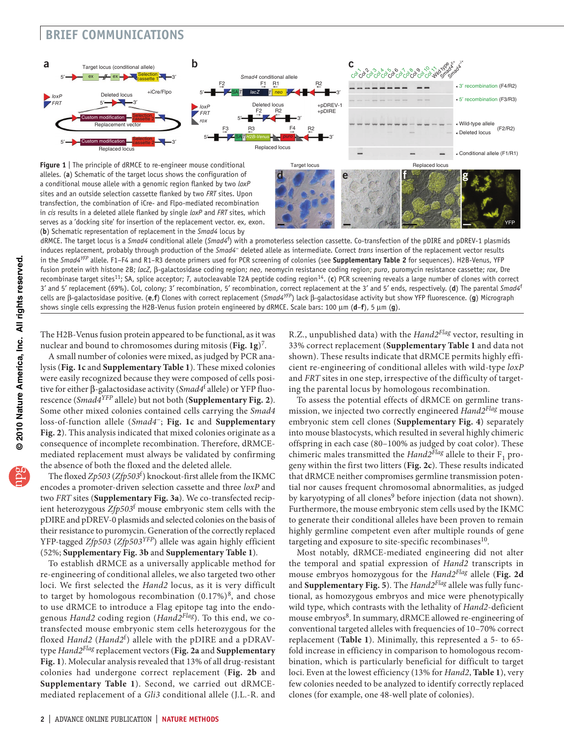## **brief communications**



<span id="page-1-0"></span>transfection, the combination of iCre- and Flpo-mediated recombination in *cis* results in a deleted allele flanked by single *loxP* and *FRT* sites, which serves as a 'docking site' for insertion of the replacement vector. ex, exon. (**b**) Schematic representation of replacement in the *Smad4* locus by

dRMCE. The target locus is a *Smad4* conditional allele (*Smad4*<sup>f</sup> ) with a promoterless selection cassette. Co-transfection of the pDIRE and pDREV-1 plasmids induces replacement, probably through production of the *Smad4*− deleted allele as intermediate. Correct *trans* insertion of the replacement vector results in the *Smad4YFP* allele. F1–F4 and R1–R3 denote primers used for PCR screening of colonies (see **Supplementary Table 2** for sequences). H2B-Venus, YFP fusion protein with histone 2B; *lacZ*, β-galactosidase coding region; *neo*, neomycin resistance coding region; *puro*, puromycin resistance cassette; *rox*, Dre recombinase target sites<sup>11</sup>; SA, splice acceptor; T, autocleavable T2A peptide coding region<sup>14</sup>. (c) PCR screening reveals a large number of clones with correct 3′ and 5′ replacement (69%). Col, colony; 3′ recombination, 5′ recombination, correct replacement at the 3′ and 5′ ends, respectively. (**d**) The parental *Smad4*<sup>f</sup> cells are β-galactosidase positive. (**e**,**f**) Clones with correct replacement (*Smad4YFP*) lack β-galactosidase activity but show YFP fluorescence. (**g**) Micrograph shows single cells expressing the H2B-Venus fusion protein engineered by dRMCE. Scale bars: 100 μm (**d**–**f**), 5 μm (**g**).

The H2B-Venus fusion protein appeared to be functional, as it was nuclear and bound to chromosomes during mitosis (**[Fig. 1g](#page-1-0)**)[7.](#page-2-6)

A small number of colonies were mixed, as judged by PCR analysis (**[Fig. 1c](#page-1-0)** and **Supplementary Table 1**). These mixed colonies were easily recognized because they were composed of cells positive for either β-galactosidase activity (*Smad4*<sup>f</sup> allele) or YFP fluorescence (*Smad4YFP* allele) but not both (**Supplementary Fig. 2**). Some other mixed colonies contained cells carrying the *Smad4* loss-of-function allele (*Smad4*−; **[Fig. 1c](#page-1-0)** and **Supplementary Fig. 2**). This analysis indicated that mixed colonies originate as a consequence of incomplete recombination. Therefore, dRMCEmediated replacement must always be validated by confirming the absence of both the floxed and the deleted allele.

The floxed *Zp503* (*Zfp503*<sup>f</sup> ) knockout-first allele from the IKMC encodes a promoter-driven selection cassette and three *loxP* and two *FRT* sites (**Supplementary Fig. 3a**). We co-transfected recipient heterozygous *Zfp503*<sup>f</sup> mouse embryonic stem cells with the pDIRE and pDREV-0 plasmids and selected colonies on the basis of their resistance to puromycin. Generation of the correctly replaced YFP-tagged *Zfp503* (*Zfp503YFP*) allele was again highly efficient (52%; **Supplementary Fig. 3b** and **Supplementary Table 1**).

To establish dRMCE as a universally applicable method for re-engineering of conditional alleles, we also targeted two other loci. We first selected the *Hand2* locus, as it is very difficult to target by homologous recombination  $(0.17\%)^8$ , and chose to use dRMCE to introduce a Flag epitope tag into the endogenous *Hand2* coding region (*Hand2Flag*). To this end, we cotransfected mouse embryonic stem cells heterozygous for the floxed *Hand2* (*Hand2*<sup>f</sup> ) allele with the pDIRE and a pDRAVtype *Hand2Flag* replacement vectors (**[Fig. 2a](#page-2-8)** and **Supplementary Fig. 1**). Molecular analysis revealed that 13% of all drug-resistant colonies had undergone correct replacement (**[Fig. 2b](#page-2-8)** and **Supplementary Table 1**). Second, we carried out dRMCEmediated replacement of a *Gli3* conditional allele (J.L.-R. and R.Z., unpublished data) with the *Hand2Flag* vector, resulting in 33% correct replacement (**Supplementary Table 1** and data not shown). These results indicate that dRMCE permits highly efficient re-engineering of conditional alleles with wild-type *loxP* and *FRT* sites in one step, irrespective of the difficulty of targeting the parental locus by homologous recombination.

β-gal β-gal YFP YFP

To assess the potential effects of dRMCE on germline transmission, we injected two correctly engineered *Hand2Flag* mouse embryonic stem cell clones (**Supplementary Fig. 4**) separately into mouse blastocysts, which resulted in several highly chimeric offspring in each case (80–100% as judged by coat color). These chimeric males transmitted the  $Hand2<sup>Flag</sup>$  allele to their  $F_1$  progeny within the first two litters (**[Fig. 2c](#page-2-8)**). These results indicated that dRMCE neither compromises germline transmission potential nor causes frequent chromosomal abnormalities, as judged by karyotyping of all clones<sup>9</sup> before injection (data not shown). Furthermore, the mouse embryonic stem cells used by the IKMC to generate their conditional alleles have been proven to remain highly germline competent even after multiple rounds of gene targeting and exposure to site-specific recombinases $10$ .

Most notably, dRMCE-mediated engineering did not alter the temporal and spatial expression of *Hand2* transcripts in mouse embryos homozygous for the *Hand2Flag* allele (**[Fig. 2d](#page-2-8)** and **Supplementary Fig. 5**). The *Hand2Flag* allele was fully functional, as homozygous embryos and mice were phenotypically wild type, which contrasts with the lethality of *Hand2*-deficient mouse embryos<sup>8</sup>. In summary, dRMCE allowed re-engineering of conventional targeted alleles with frequencies of 10–70% correct replacement (**[Table 1](#page-2-11)**). Minimally, this represented a 5- to 65 fold increase in efficiency in comparison to homologous recombination, which is particularly beneficial for difficult to target loci. Even at the lowest efficiency (13% for *Hand2*, **[Table 1](#page-2-11)**), very few colonies needed to be analyzed to identify correctly replaced clones (for example, one 48-well plate of colonies).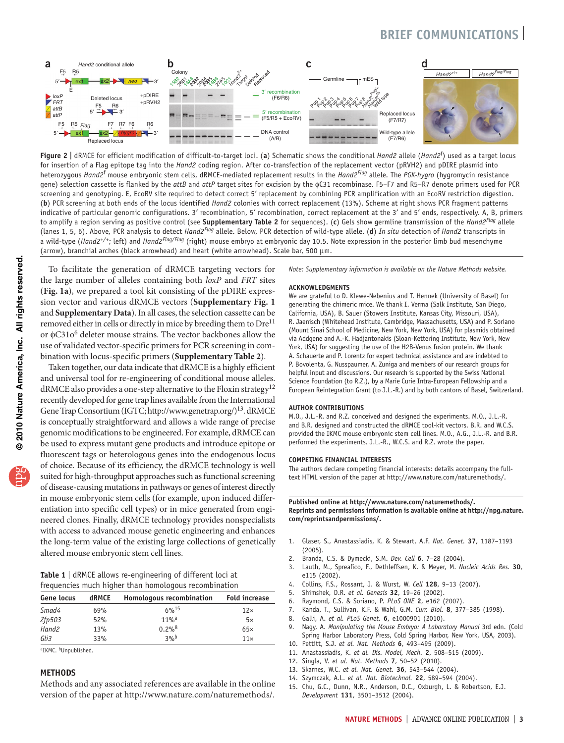# **brief communications**



<span id="page-2-8"></span>**Figure 2** | dRMCE for efficient modification of difficult-to-target loci. (**a**) Schematic shows the conditional *Hand2* allele (*Hand2*<sup>f</sup> ) used as a target locus for insertion of a Flag epitope tag into the *Hand2* coding region. After co-transfection of the replacement vector (pRVH2) and pDIRE plasmid into heterozygous *Hand2*<sup>f</sup> mouse embryonic stem cells, dRMCE-mediated replacement results in the *Hand2Flag* allele. The *PGK-hygro* (hygromycin resistance gene) selection cassette is flanked by the *attB* and *attP* target sites for excision by the φC31 recombinase. F5–F7 and R5–R7 denote primers used for PCR screening and genotyping. E, EcoRV site required to detect correct 5′ replacement by combining PCR amplification with an EcoRV restriction digestion. (**b**) PCR screening at both ends of the locus identified *Hand2* colonies with correct replacement (13%). Scheme at right shows PCR fragment patterns indicative of particular genomic configurations. 3′ recombination, 5′ recombination, correct replacement at the 3′ and 5′ ends, respectively. A, B, primers to amplify a region serving as positive control (see **Supplementary Table 2** for sequences). (**c**) Gels show germline transmission of the *Hand2Flag* allele (lanes 1, 5, 6). Above, PCR analysis to detect *Hand2Flag* allele. Below, PCR detection of wild-type allele. (**d**) *In situ* detection of *Hand2* transcripts in a wild-type (*Hand2+/+*; left) and *Hand2Flag/Flag* (right) mouse embryo at embryonic day 10.5. Note expression in the posterior limb bud mesenchyme (arrow), branchial arches (black arrowhead) and heart (white arrowhead). Scale bar, 500 μm.

To facilitate the generation of dRMCE targeting vectors for the large number of alleles containing both *loxP* and *FRT* sites (**[Fig.](#page-1-0) 1a**), we prepared a tool kit consisting of the pDIRE expression vector and various dRMCE vectors (**Supplementary Fig. 1** and **Supplementary Data**). In all cases, the selection cassette can be removed either in cells or directly in mice by breeding them to Dre<sup>11</sup> or φC31o[6](#page-2-2) deleter mouse strains. The vector backbones allow the use of validated vector-specific primers for PCR screening in combination with locus-specific primers (**Supplementary Table 2**).

Taken together, our data indicate that dRMCE is a highly efficient and universal tool for re-engineering of conditional mouse alleles.  $dRMCE$  also provides a one-step alternative to the Floxin strategy<sup>12</sup> recently developed for gene trap lines available from the International Gene Trap Consortium (IGTC; [http://www.genetrap.org/\)](http://www.genetrap.org/) [13](#page-2-15). dRMCE is conceptually straightforward and allows a wide range of precise genomic modifications to be engineered. For example, dRMCE can be used to express mutant gene products and introduce epitope or fluorescent tags or heterologous genes into the endogenous locus of choice. Because of its efficiency, the dRMCE technology is well suited for high-throughput approaches such as functional screening of disease-causing mutations in pathways or genes of interest directly in mouse embryonic stem cells (for example, upon induced differentiation into specific cell types) or in mice generated from engineered clones. Finally, dRMCE technology provides nonspecialists with access to advanced mouse genetic engineering and enhances the long-term value of the existing large collections of genetically altered mouse embryonic stem cell lines.

<span id="page-2-11"></span>

| <b>Table 1</b> $ $ dRMCE allows re-engineering of different loci at |  |  |  |  |
|---------------------------------------------------------------------|--|--|--|--|
| frequencies much higher than homologous recombination               |  |  |  |  |

| Gene locus | dRMCE | Homologous recombination | <b>Fold increase</b> |
|------------|-------|--------------------------|----------------------|
| Smad4      | 69%   | $6\%^{15}$               | $12\times$           |
| Zfp503     | 52%   | $11\%$ <sup>a</sup>      | $5\times$            |
| Hand2      | 13%   | $0.2\%$ <sup>8</sup>     | 65x                  |
| Gli3       | 33%   | 3%b                      | 11x                  |
|            |       |                          |                      |

<sup>a</sup>IKMC. bUnpublished.

## **Methods**

Methods and any associated references are available in the online version of the paper at http://www.nature.com/naturemethods/. *Note: Supplementary information is available on the Nature [Methods](http://www.nature.com/naturemethods/) website.*

#### **Acknowledgments**

We are grateful to D. Klewe-Nebenius and T. Hennek (University of Basel) for generating the chimeric mice. We thank I. Verma (Salk Institute, San Diego, California, USA), B. Sauer (Stowers Institute, Kansas City, Missouri, USA), R. Jaenisch (Whitehead Institute, Cambridge, Massachusetts, USA) and P. Soriano (Mount Sinai School of Medicine, New York, New York, USA) for plasmids obtained via Addgene and A.-K. Hadjantonakis (Sloan-Kettering Institute, New York, New York, USA) for suggesting the use of the H2B-Venus fusion protein. We thank A. Schauerte and P. Lorentz for expert technical assistance and are indebted to P. Bovolenta, G. Nusspaumer, A. Zuniga and members of our research groups for helpful input and discussions. Our research is supported by the Swiss National Science Foundation (to R.Z.), by a Marie Curie Intra-European Fellowship and a European Reintegration Grant (to J.L.-R.) and by both cantons of Basel, Switzerland.

#### **AUTHOR CONTRIBUTIONS**

M.O., J.L.-R. and R.Z. conceived and designed the experiments. M.O., J.L.-R. and B.R. designed and constructed the dRMCE tool-kit vectors. B.R. and W.C.S. provided the IKMC mouse embryonic stem cell lines. M.O., A.G., J.L.-R. and B.R. performed the experiments. J.L.-R., W.C.S. and R.Z. wrote the paper.

#### **COMPETING FINANCIAL INTERESTS**

The authors declare competing financial interests: details accompany the fulltext HTML version of the paper at [http://www.nature.com/naturemethods/.](http://www.nature.com/naturemethods/)

**Published online at http://www.nature.com/naturemethods/. Reprints and permissions information is available online at http://npg.nature. com/reprintsandpermissions/.**

- <span id="page-2-3"></span>1. Glaser, S., Anastassiadis, K. & Stewart, A.F. *Nat. Genet.* **37**, 1187–1193 (2005).
- <span id="page-2-4"></span>2. Branda, C.S. & Dymecki, S.M. *Dev. Cell* **6**, 7–28 (2004).
- <span id="page-2-5"></span>3. Lauth, M., Spreafico, F., Dethleffsen, K. & Meyer, M. *Nucleic Acids Res.* **30**, e115 (2002).
- <span id="page-2-0"></span>4. Collins, F.S., Rossant, J. & Wurst, W. *Cell* **128**, 9–13 (2007).
- <span id="page-2-1"></span>5. Shimshek, D.R. *et al. Genesis* **32**, 19–26 (2002).
- <span id="page-2-2"></span>6. Raymond, C.S. & Soriano, P. *PLoS ONE* **2**, e162 (2007).
- <span id="page-2-6"></span>7. Kanda, T., Sullivan, K.F. & Wahl, G.M. *Curr. Biol.* **8**, 377–385 (1998).
- <span id="page-2-7"></span>8. Galli, A. *et al. PLoS Genet.* **6**, e1000901 (2010).
- <span id="page-2-9"></span>9. Nagy, A. *Manipulating the Mouse Embryo: A Laboratory Manual* 3rd edn. (Cold Spring Harbor Laboratory Press, Cold Spring Harbor, New York, USA, 2003). 10. Pettitt, S.J. *et al. Nat. Methods* **6**, 493–495 (2009).
- <span id="page-2-12"></span><span id="page-2-10"></span>11. Anastassiadis, K. *et al. Dis. Model, Mech.* **2**, 508–515 (2009).
- <span id="page-2-14"></span>12. Singla, V. *et al. Nat. Methods* **7**, 50–52 (2010).
- <span id="page-2-15"></span>13. Skarnes, W.C. *et al. Nat. Genet.* **36**, 543–544 (2004).
- <span id="page-2-13"></span>14. Szymczak, A.L. *et al. Nat. Biotechnol.* **22**, 589–594 (2004).
- <span id="page-2-16"></span>15. Chu, G.C., Dunn, N.R., Anderson, D.C., Oxburgh, L. & Robertson, E.J. *Development* **131**, 3501–3512 (2004).